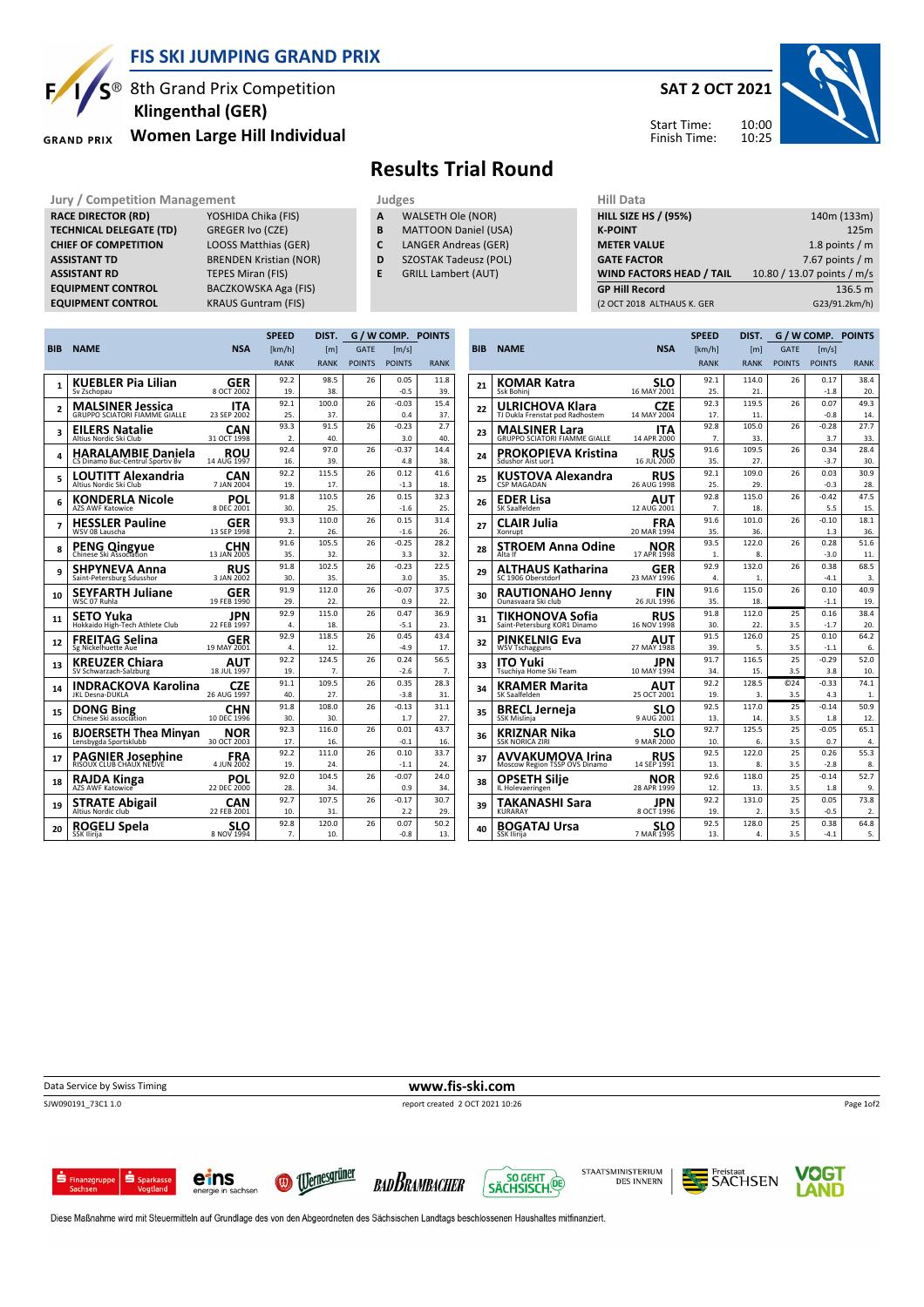

## FIS SKI JUMPING GRAND PRIX

BACZKOWSKA Aga (FIS)

 $S^{\circledast}$  8th Grand Prix Competition Women Large Hill Individual Klingenthal (GER)

**TECHNICAL DELEGATE (TD)** GREGER Ivo (CZE)<br> **CHIEF OF COMPETITION** LOOSS Matthias (GER)

EQUIPMENT CONTROL KRAUS Guntram (FIS)

ASSISTANT TD BRENDEN Kristian (NOR) **ASSISTANT RD** TEPES Miran (FIS)<br> **EQUIPMENT CONTROL** BACZKOWSKA Aga

**GRAND PRIX** 

RACE DIRECTOR (RD)

CHIEF OF COMPETITION

## Results Trial Round

- Jury / Competition Management<br> **RACE DIRECTOR (RD)** YOSHIDA Chika (FIS) **A** WALSETH Ole (NOR) HILL SIZE A WALSETH Ole (NOR)
	- **B** MATTOON Daniel (USA)<br>**C** LANGER Andreas (GER)
		- LANGER Andreas (GER)
	- D SZOSTAK Tadeusz (POL)
	- E GRILL Lambert (AUT)

| нш ната                         |                            |
|---------------------------------|----------------------------|
| <b>HILL SIZE HS / (95%)</b>     | 140m (133m)                |
| <b>K-POINT</b>                  | 125m                       |
| <b>METER VALUE</b>              | 1.8 points $/m$            |
| <b>GATE FACTOR</b>              | 7.67 points $/m$           |
| <b>WIND FACTORS HEAD / TAIL</b> | 10.80 / 13.07 points / m/s |
| <b>GP Hill Record</b>           | 136.5 m                    |
| (2 OCT 2018 ALTHAUS K. GER      | G23/91.2km/h)              |
|                                 |                            |

**SPEED** 

|                |                                                               |                           | <b>SPEED</b>     | DIST.        | G / W COMP. POINTS |                     |             |  |
|----------------|---------------------------------------------------------------|---------------------------|------------------|--------------|--------------------|---------------------|-------------|--|
| <b>BIB</b>     | <b>NAME</b>                                                   | <b>NSA</b>                | [km/h]           | [m]          | <b>GATE</b>        | $\lceil m/s \rceil$ |             |  |
|                |                                                               |                           | <b>RANK</b>      | <b>RANK</b>  | <b>POINTS</b>      | <b>POINTS</b>       | <b>RANK</b> |  |
|                | <b>KUEBLER Pia Lilian</b>                                     | <b>GER</b>                | 92.2             | 98.5         | 26                 | 0.05                | 11.8        |  |
| 1              | Sv Zschopau                                                   | 8 OCT 2002                | 19.              | 38.          |                    | $-0.5$              | 39.         |  |
| $\overline{2}$ | <b>MALSINER Jessica</b>                                       | <b>ITA</b>                | 92.1             | 100.0        | 26                 | $-0.03$             | 15.4        |  |
|                | <b>GRUPPO SCIATORI FIAMME GIALLE</b>                          | 23 SEP 2002               | 25.              | 37.          |                    | 0.4                 | 37.         |  |
| 3              | <b>EILERS Natalie</b>                                         | <b>CAN</b>                | 93.3             | 91.5         | 26                 | $-0.23$             | 2.7         |  |
|                | Altius Nordic Ski Club                                        | 31 OCT 1998               | $\overline{2}$ . | 40.          |                    | 3.0                 | 40.         |  |
| 4              | <b>HARALAMBIE Daniela</b><br>CS Dinamo Buc-Centrul Sportiv By | <b>ROU</b><br>14 AUG 1997 | 92.4<br>16.      | 97.0<br>39.  | 26                 | $-0.37$<br>4.8      | 14.4<br>38. |  |
|                | <b>LOUTITT Alexandria</b>                                     | CAN                       | 92.2             | 115.5        | 26                 | 0.12                | 41.6        |  |
| 5              | Altius Nordic Ski Club                                        | 7 JAN 2004                | 19.              | 17.          |                    | $-1.3$              | 18.         |  |
| 6              | <b>KONDERLA Nicole</b>                                        | POL                       | 91.8             | 110.5        | 26                 | 0.15                | 32.3        |  |
|                | <b>AZS AWF Katowice</b>                                       | 8 DEC 2001                | 30.              | 25.          |                    | $-1.6$              | 25.         |  |
| 7              | <b>HESSLER Pauline</b>                                        | GER                       | 93.3             | 110.0        | 26                 | 0.15                | 31.4        |  |
|                | WSV 08 Lauscha                                                | 13 SEP 1998               | $\overline{2}$ . | 26.          |                    | $-1.6$              | 26.         |  |
| 8              | <b>PENG Qingyue</b><br>Chinese Ski Association                | CHN                       | 91.6             | 105.5        | 26                 | $-0.25$             | 28.2        |  |
|                |                                                               | 13 JAN 2005               | 35.              | 32.          |                    | 3.3                 | 32.         |  |
| 9              | SHPYNEVA Anna<br>Saint-Petersburg Sdusshor                    | <b>RUS</b><br>3 JAN 2002  | 91.8<br>30.      | 102.5<br>35. | 26                 | $-0.23$<br>3.0      | 22.5<br>35. |  |
|                |                                                               |                           | 91.9             | 112.0        | 26                 | $-0.07$             | 37.5        |  |
| 10             | <b>SEYFARTH Juliane</b><br>WSC 07 Ruhla                       | <b>GER</b><br>19 FEB 1990 | 29.              | 22.          |                    | 0.9                 | 22.         |  |
|                |                                                               | JPN                       | 92.9             | 115.0        | 26                 | 0.47                | 36.9        |  |
| 11             | SETO Yuka<br>Hokkaido High-Tech Athlete Club                  | 22 FEB 1997               | 4.               | 18.          |                    | $-5.1$              | 23.         |  |
| 12             | FREITAG Selina                                                | <b>GER</b>                | 92.9             | 118.5        | 26                 | 0.45                | 43.4        |  |
|                | Sg Nickelhuette Aue                                           | 19 MAY 2001               | 4.               | 12.          |                    | $-4.9$              | 17.         |  |
| 13             | <b>KREUZER Chiara</b>                                         | <b>AUT</b>                | 92.2             | 124.5        | 26                 | 0.24                | 56.5        |  |
|                | SV Schwarzach-Salzburg                                        | 18 JUL 1997               | 19.              | 7.           |                    | $-2.6$              | 7.          |  |
| 14             | <b>INDRACKOVA Karolina</b>                                    | <b>CZE</b>                | 91.1             | 109.5        | 26                 | 0.35                | 28.3        |  |
|                | <b>JKL Desna-DUKLA</b>                                        | 26 AUG 1997               | 40.              | 27.          |                    | $-3.8$              | 31.         |  |
| 15             | <b>DONG Bing</b><br>Chinese Ski association                   | <b>CHN</b><br>10 DEC 1996 | 91.8<br>30.      | 108.0<br>30. | 26                 | $-0.13$<br>1.7      | 31.1<br>27. |  |
|                | <b>BJOERSETH Thea Minvan</b>                                  | NOR                       | 92.3             | 116.0        | 26                 | 0.01                | 43.7        |  |
| 16             | Lensbygda Sportsklubb                                         | 30 OCT 2003               | 17.              | 16.          |                    | $-0.1$              | 16.         |  |
| 17             | <b>PAGNIER Josephine</b>                                      | FRA                       | 92.2             | 111.0        | 26                 | 0.10                | 33.7        |  |
|                | RISOUX CLUB CHAUX NEUVE                                       | 4 JUN 2002                | 19.              | 24.          |                    | $-1.1$              | 24.         |  |
| 18             | RAJDA Kinga                                                   | POL                       | 92.0             | 104.5        | 26                 | $-0.07$             | 24.0        |  |
|                | <b>AZS AWF Katowice</b>                                       | 22 DEC 2000               | 28.              | 34.          |                    | 0.9                 | 34.         |  |
| 19             | <b>STRATE Abigail</b>                                         | CAN                       | 92.7             | 107.5        | 26                 | $-0.17$             | 30.7        |  |
|                | Altius Nordic club                                            | 22 FEB 2001               | 10.              | 31.          |                    | 2.2                 | 29.         |  |
| 20             | <b>ROGELJ Spela</b>                                           | SLO<br>8 NOV 1994         | 92.8             | 120.0<br>10. | 26                 | 0.07<br>$-0.8$      | 50.2<br>13. |  |
|                | SSK Ilirija                                                   |                           | 7.               |              |                    |                     |             |  |

| <b>BIB</b> | <b>NAME</b>                                     | <b>NSA</b>                | [km/h]      | [m]              | <b>GATE</b>     | [m/s]          |             |
|------------|-------------------------------------------------|---------------------------|-------------|------------------|-----------------|----------------|-------------|
|            |                                                 |                           | <b>RANK</b> | <b>RANK</b>      | <b>POINTS</b>   | <b>POINTS</b>  | <b>RANK</b> |
| 21         | KOMAR Katra                                     | SLO                       | 92.1        | 114.0            | 26              | 0.17           | 38.4        |
|            | Ssk Bohini                                      | 16 MAY 2001               | 25.         | 21.              |                 | $-1.8$         | 20.         |
| 22         | ULRICHOVA Klara                                 | <b>CZE</b>                | 92.3        | 119.5            | 26              | 0.07           | 49.3        |
|            | TJ Dukla Frenstat pod Radhostem                 | 14 MAY 2004               | 17.         | 11.              |                 | $-0.8$         | 14.         |
| 23         | <b>MALSINER Lara</b>                            | ITA                       | 92.8        | 105.0            | 26              | $-0.28$        | 27.7        |
|            | <b>GRUPPO SCIATORI FIAMME GIALLE</b>            | 14 APR 2000               | 7.          | 33.              |                 | 3.7            | 33.         |
| 24         | <b>PROKOPIEVA Kristina</b>                      | RUS                       | 91.6        | 109.5            | 26              | 0.34           | 28.4        |
|            | Sdushor Aist uor1                               | 16 JUL 2000               | 35.<br>92.1 | 27.<br>109.0     | 26              | $-3.7$<br>0.03 | 30.<br>30.9 |
| 25         | KUSTOVA Alexandra<br><b>CSP MAGADAN</b>         | <b>RUS</b><br>26 AUG 1998 | 25.         | 29.              |                 | $-0.3$         | 28.         |
|            |                                                 |                           | 92.8        | 115.0            | 26              | $-0.42$        | 47.5        |
| 26         | <b>EDER Lisa</b><br>SK Saalfelden               | AUT<br>12 AUG 2001        | 7.          | 18.              |                 | 5.5            | 15.         |
|            |                                                 |                           | 91.6        | 101.0            | 26              | $-0.10$        | 18.1        |
| 27         | CLAIR Julia<br>Xonrupt                          | <b>FRA</b><br>20 MAR 1994 | 35.         | 36.              |                 | 1.3            | 36.         |
|            | <b>STROEM Anna Odine</b>                        | NOR                       | 93.5        | 122.0            | 26              | 0.28           | 51.6        |
| 28         | Alta If                                         | 17 APR 1998               | 1.          | 8.               |                 | $-3.0$         | 11.         |
|            | ALTHAUS Katharina                               | GER                       | 92.9        | 132.0            | 26              | 0.38           | 68.5        |
| 29         | SC 1906 Oberstdorf                              | 23 MAY 1996               | 4.          | 1.               |                 | $-4.1$         | 3.          |
| 30         | <b>RAUTIONAHO Jenny</b>                         | FIN                       | 91.6        | 115.0            | 26              | 0.10           | 40.9        |
|            | Ounasvaara Ski club                             | 26 JUL 1996               | 35.         | 18.              |                 | $-1.1$         | 19.         |
| 31         | TIKHONOVA Sofia<br>Saint-Petersburg KOR1 Dinamo | <b>RUS</b>                | 91.8        | 112.0            | 25              | 0.16           | 38.4        |
|            |                                                 | 16 NOV 1998               | 30.         | 22.              | 3.5             | $-1.7$         | 20.         |
| 32         | <b>PINKELNIG Eva</b>                            | AUT                       | 91.5        | 126.0            | 25              | 0.10           | 64.2        |
|            | <b>WSV Tschagguns</b>                           | 27 MAY 1988               | 39.         | 5.<br>116.5      | 3.5             | $-1.1$         | 6.<br>52.0  |
| 33         | <b>ITO Yuki</b><br>Tsuchiya Home Ski Team       | <b>JPN</b><br>10 MAY 1994 | 91.7<br>34. | 15.              | 25<br>3.5       | $-0.29$<br>3.8 | 10.         |
|            |                                                 |                           | 92.2        | 128.5            | C <sub>24</sub> | $-0.33$        | 74.1        |
| 34         | <b>KRAMER Marita</b><br>SK Saalfelden           | AUT<br>25 OCT 2001        | 19.         | 3.               | 3.5             | 4.3            | 1.          |
|            |                                                 | SLO                       | 92.5        | 117.0            | 25              | $-0.14$        | 50.9        |
| 35         | <b>BRECL Jerneja</b><br>SSK Mislinja            | 9 AUG 2001                | 13.         | 14.              | 3.5             | 1.8            | 12.         |
|            | KRIZNAR Nika                                    | SLO                       | 92.7        | 125.5            | 25              | $-0.05$        | 65.1        |
| 36         | <b>SSK NORICA ZIRI</b>                          | 9 MAR 2000                | 10.         | 6.               | 3.5             | 0.7            | 4.          |
| 37         | <b>AVVAKUMOVA Irina</b>                         | RUS                       | 92.5        | 122.0            | 25              | 0.26           | 55.3        |
|            | Moscow Region TSSP OVS Dinamo                   | 14 SEP 1991               | 13.         | 8.               | 3.5             | $-2.8$         | 8.          |
| 38         | <b>OPSETH Silie</b>                             | NOR                       | 92.6        | 118.0            | 25              | $-0.14$        | 52.7        |
|            | IL Holevaeringen                                | 28 APR 1999               | 12.         | 13.              | 3.5             | 1.8            | 9.          |
| 39         | TAKANASHI Sara                                  | JPN                       | 92.2        | 131.0            | 25              | 0.05           | 73.8        |
|            | <b>KURARAY</b>                                  | 8 OCT 1996                | 19.         | $\overline{2}$ . | 3.5             | $-0.5$         | 2.          |
| 40         | <b>BOGATAJ Ursa</b>                             | SLO                       | 92.5        | 128.0            | 25              | 0.38           | 64.8        |
|            | SSK Ilirija                                     | 7 MAR 1995                | 13.         | 4.               | 3.5             | $-4.1$         | 5.          |

Data Service by Swiss Timing **WWW.fis-ski.com** 

SJW090191\_73C1 1.0 report created 2 OCT 2021 10:26















Diese Maßnahme wird mit Steuermitteln auf Grundlage des von den Abgeordneten des Sächsischen Landtags beschlossenen Haushaltes mitfinanziert.

SAT 2 OCT 2021

10:00 10:25 Start Time: Finish Time:



G / W COMP. POINTS